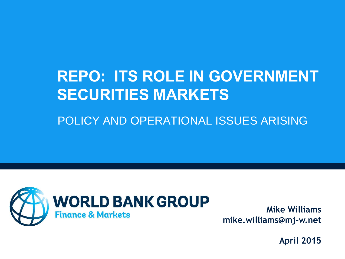# **REPO: ITS ROLE IN GOVERNMENT SECURITIES MARKETS**

POLICY AND OPERATIONAL ISSUES ARISING



**Mike Williams mike.williams@mj-w.net**

**April 2015**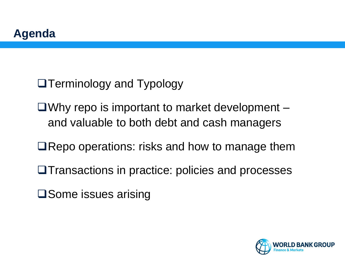**O**Terminology and Typology

 $\Box$  Why repo is important to market development  $\Box$ and valuable to both debt and cash managers

**□Repo operations: risks and how to manage them** 

Transactions in practice: policies and processes

**□Some issues arising** 

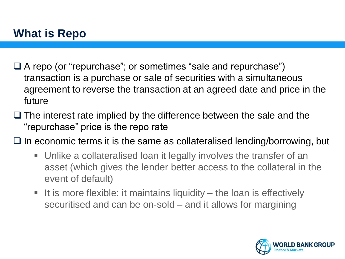- □ A repo (or "repurchase"; or sometimes "sale and repurchase") transaction is a purchase or sale of securities with a simultaneous agreement to reverse the transaction at an agreed date and price in the future
- $\Box$  The interest rate implied by the difference between the sale and the "repurchase" price is the repo rate
- $\Box$  In economic terms it is the same as collateralised lending/borrowing, but
	- Unlike a collateralised loan it legally involves the transfer of an asset (which gives the lender better access to the collateral in the event of default)
	- It is more flexible: it maintains liquidity  $-$  the loan is effectively securitised and can be on-sold – and it allows for margining

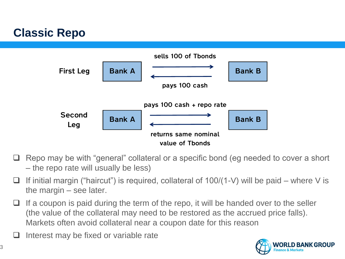## **Classic Repo**



- Repo may be with "general" collateral or a specific bond (eg needed to cover a short – the repo rate will usually be less)
- $\Box$  If initial margin ("haircut") is required, collateral of 100/(1-V) will be paid where V is the margin – see later.
- $\Box$  If a coupon is paid during the term of the repo, it will be handed over to the seller (the value of the collateral may need to be restored as the accrued price falls). Markets often avoid collateral near a coupon date for this reason
- Interest may be fixed or variable rate

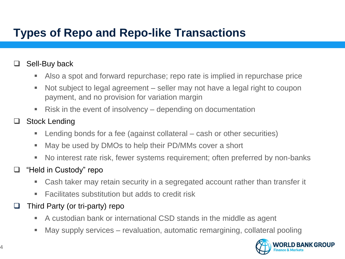## **Types of Repo and Repo-like Transactions**

### $\Box$  Sell-Buy back

- Also a spot and forward repurchase; repo rate is implied in repurchase price
- Not subject to legal agreement seller may not have a legal right to coupon payment, and no provision for variation margin
- **EXA** Risk in the event of insolvency depending on documentation

### □ Stock Lending

- Lending bonds for a fee (against collateral cash or other securities)
- May be used by DMOs to help their PD/MMs cover a short
- No interest rate risk, fewer systems requirement; often preferred by non-banks

### □ "Held in Custody" repo

- Cash taker may retain security in a segregated account rather than transfer it
- Facilitates substitution but adds to credit risk
- $\Box$  Third Party (or tri-party) repo
	- A custodian bank or international CSD stands in the middle as agent
	- May supply services revaluation, automatic remargining, collateral pooling

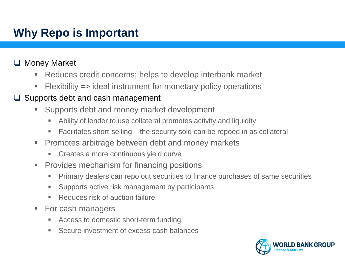## **Why Repo is Important**

### □ Money Market

- Reduces credit concerns; helps to develop interbank market
- Flexibility => ideal instrument for monetary policy operations

### $\Box$  Supports debt and cash management

- Supports debt and money market development
	- Ability of lender to use collateral promotes activity and liquidity
	- Facilitates short-selling the security sold can be repoed in as collateral
- **Promotes arbitrage between debt and money markets** 
	- **Creates a more continuous yield curve**
- **Provides mechanism for financing positions** 
	- **Primary dealers can repo out securities to finance purchases of same securities**
	- **Supports active risk management by participants**
	- **Reduces risk of auction failure**
- For cash managers
	- Access to domestic short-term funding
	- Secure investment of excess cash balances

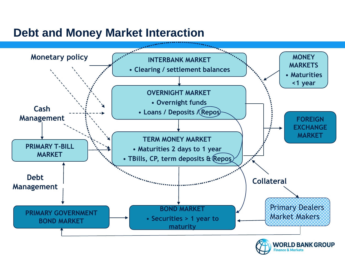### **Debt and Money Market Interaction**



nance & Markets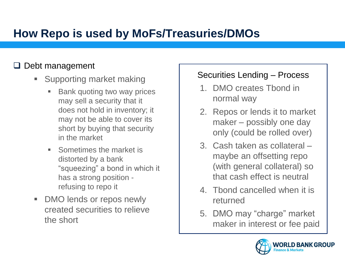## **How Repo is used by MoFs/Treasuries/DMOs**

### $\Box$  Debt management

- **Supporting market making** 
	- Bank quoting two way prices may sell a security that it does not hold in inventory; it may not be able to cover its short by buying that security in the market
	- Sometimes the market is distorted by a bank "squeezing" a bond in which it has a strong position refusing to repo it
- DMO lends or repos newly created securities to relieve the short

### Securities Lending – Process

- 1. DMO creates Tbond in normal way
- 2. Repos or lends it to market maker – possibly one day only (could be rolled over)
- 3. Cash taken as collateral maybe an offsetting repo (with general collateral) so that cash effect is neutral
- 4. Tbond cancelled when it is returned
- 5. DMO may "charge" market maker in interest or fee paid

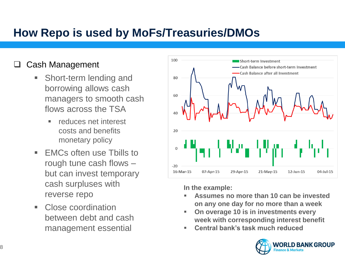## **How Repo is used by MoFs/Treasuries/DMOs**

### Cash Management

- Short-term lending and borrowing allows cash managers to smooth cash flows across the TSA
	- **F** reduces net interest costs and benefits monetary policy
- EMCs often use Tbills to rough tune cash flows – but can invest temporary cash surpluses with reverse repo
- Close coordination between debt and cash management essential



**In the example:** 

- **Assumes no more than 10 can be invested on any one day for no more than a week**
- **On overage 10 is in investments every week with corresponding interest benefit**
- **Central bank's task much reduced**

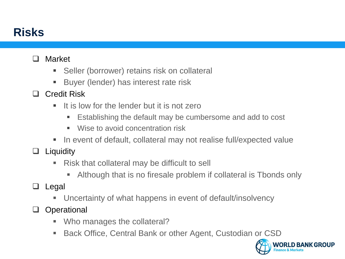## **Risks**

### □ Market

- **Seller (borrower) retains risk on collateral**
- Buyer (lender) has interest rate risk
- □ Credit Risk
	- $\blacksquare$  It is low for the lender but it is not zero
		- Establishing the default may be cumbersome and add to cost
		- **Wise to avoid concentration risk**
	- In event of default, collateral may not realise full/expected value

 $\Box$  Liquidity

- Risk that collateral may be difficult to sell
	- Although that is no firesale problem if collateral is Tbonds only
- $\Box$  Legal
	- Uncertainty of what happens in event of default/insolvency
- **Q** Operational
	- Who manages the collateral?
	- Back Office, Central Bank or other Agent, Custodian or CSD

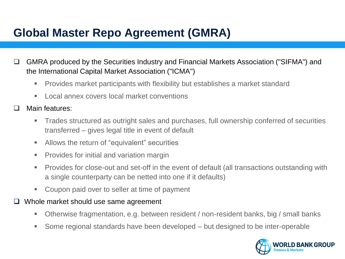## **Global Master Repo Agreement (GMRA)**

- GMRA produced by the Securities Industry and Financial Markets Association ("SIFMA") and the International Capital Market Association ("ICMA")
	- Provides market participants with flexibility but establishes a market standard
	- **Local annex covers local market conventions**

#### Main features:

- Trades structured as outright sales and purchases, full ownership conferred of securities transferred – gives legal title in event of default
- Allows the return of "equivalent" securities
- **Provides for initial and variation margin**
- Provides for close-out and set-off in the event of default (all transactions outstanding with a single counterparty can be netted into one if it defaults)
- Coupon paid over to seller at time of payment

#### $\Box$  Whole market should use same agreement

- Otherwise fragmentation, e.g. between resident / non-resident banks, big / small banks
- Some regional standards have been developed but designed to be inter-operable

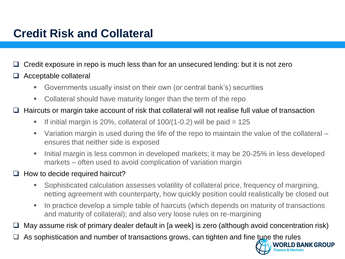## **Credit Risk and Collateral**

 $\Box$  Credit exposure in repo is much less than for an unsecured lending: but it is not zero

#### Acceptable collateral

- Governments usually insist on their own (or central bank's) securities
- Collateral should have maturity longer than the term of the repo

#### Haircuts or margin take account of risk that collateral will not realise full value of transaction

- If initial margin is 20%, collateral of  $100/(1-0.2)$  will be paid =  $125$
- Variation margin is used during the life of the repo to maintain the value of the collateral ensures that neither side is exposed
- Initial margin is less common in developed markets; it may be 20-25% in less developed markets – often used to avoid complication of variation margin

#### $\Box$  How to decide required haircut?

- Sophisticated calculation assesses volatility of collateral price, frequency of margining, netting agreement with counterparty, how quickly position could realistically be closed out
- In practice develop a simple table of haircuts (which depends on maturity of transactions and maturity of collateral); and also very loose rules on re-margining

May assume risk of primary dealer default in [a week] is zero (although avoid concentration risk)

 As sophistication and number of transactions grows, can tighten and fine tune the rules**BANK GROUP**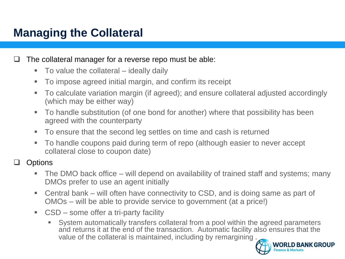## **Managing the Collateral**

The collateral manager for a reverse repo must be able:

- To value the collateral ideally daily
- To impose agreed initial margin, and confirm its receipt
- To calculate variation margin (if agreed); and ensure collateral adjusted accordingly (which may be either way)
- To handle substitution (of one bond for another) where that possibility has been agreed with the counterparty
- To ensure that the second leg settles on time and cash is returned
- To handle coupons paid during term of repo (although easier to never accept collateral close to coupon date)

#### **□** Options

- The DMO back office will depend on availability of trained staff and systems; many DMOs prefer to use an agent initially
- Central bank will often have connectivity to CSD, and is doing same as part of OMOs – will be able to provide service to government (at a price!)
- CSD some offer a tri-party facility
	- System automatically transfers collateral from a pool within the agreed parameters and returns it at the end of the transaction. Automatic facility also ensures that the value of the collateral is maintained, including by remargining .

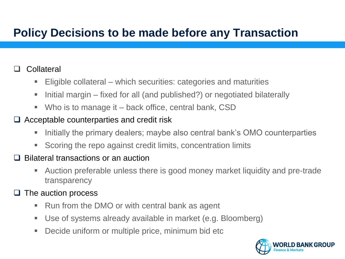## **Policy Decisions to be made before any Transaction**

### **Collateral**

- Eligible collateral which securities: categories and maturities
- Initial margin fixed for all (and published?) or negotiated bilaterally
- Who is to manage it back office, central bank, CSD

### $\Box$  Acceptable counterparties and credit risk

- **Initially the primary dealers; maybe also central bank's OMO counterparties**
- Scoring the repo against credit limits, concentration limits

### $\Box$  Bilateral transactions or an auction

- Auction preferable unless there is good money market liquidity and pre-trade transparency
- $\Box$  The auction process
	- Run from the DMO or with central bank as agent
	- Use of systems already available in market (e.g. Bloomberg)
	- **Decide uniform or multiple price, minimum bid etc**

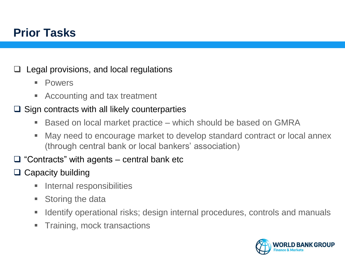## **Prior Tasks**

Legal provisions, and local regulations

- **Powers**
- Accounting and tax treatment

### $\Box$  Sign contracts with all likely counterparties

- Based on local market practice which should be based on GMRA
- May need to encourage market to develop standard contract or local annex (through central bank or local bankers' association)

### "Contracts" with agents – central bank etc

### $\Box$  Capacity building

- **Internal responsibilities**
- **Storing the data**
- **IDENTIFY IDETE:** Identify operational risks; design internal procedures, controls and manuals
- **Training, mock transactions**

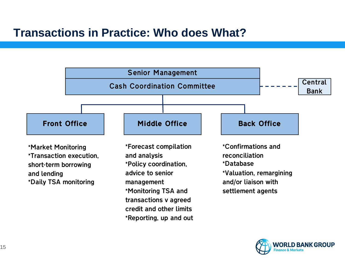### **Transactions in Practice: Who does What?**



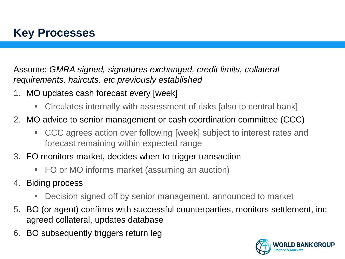## **Key Processes**

Assume: *GMRA signed, signatures exchanged, credit limits, collateral requirements, haircuts, etc previously established*

- 1. MO updates cash forecast every [week]
	- Circulates internally with assessment of risks [also to central bank]
- 2. MO advice to senior management or cash coordination committee (CCC)
	- CCC agrees action over following [week] subject to interest rates and forecast remaining within expected range
- 3. FO monitors market, decides when to trigger transaction
	- FO or MO informs market (assuming an auction)
- 4. Biding process
	- Decision signed off by senior management, announced to market
- 5. BO (or agent) confirms with successful counterparties, monitors settlement, inc agreed collateral, updates database
- 6. BO subsequently triggers return leg

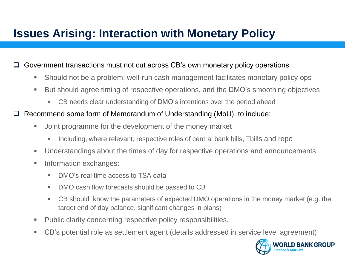## **Issues Arising: Interaction with Monetary Policy**

#### $\Box$  Government transactions must not cut across CB's own monetary policy operations

- Should not be a problem: well-run cash management facilitates monetary policy ops
- But should agree timing of respective operations, and the DMO's smoothing objectives
	- CB needs clear understanding of DMO's intentions over the period ahead

#### Recommend some form of Memorandum of Understanding (MoU), to include:

- **Joint programme for the development of the money market** 
	- **Including, where relevant, respective roles of central bank bills, Tbills and repo**
- Understandings about the times of day for respective operations and announcements
- **Information exchanges:** 
	- DMO's real time access to TSA data
	- **DMO** cash flow forecasts should be passed to CB
	- CB should know the parameters of expected DMO operations in the money market (e.g. the target end of day balance, significant changes in plans)
- Public clarity concerning respective policy responsibilities,
- CB's potential role as settlement agent (details addressed in service level agreement)

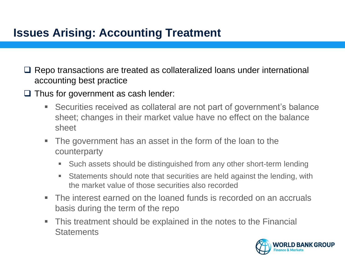## **Issues Arising: Accounting Treatment**

- □ Repo transactions are treated as collateralized loans under international accounting best practice
- $\Box$  Thus for government as cash lender:
	- Securities received as collateral are not part of government's balance sheet; changes in their market value have no effect on the balance sheet
	- **The government has an asset in the form of the loan to the** counterparty
		- Such assets should be distinguished from any other short-term lending
		- Statements should note that securities are held against the lending, with the market value of those securities also recorded
	- The interest earned on the loaned funds is recorded on an accruals basis during the term of the repo
	- This treatment should be explained in the notes to the Financial **Statements**